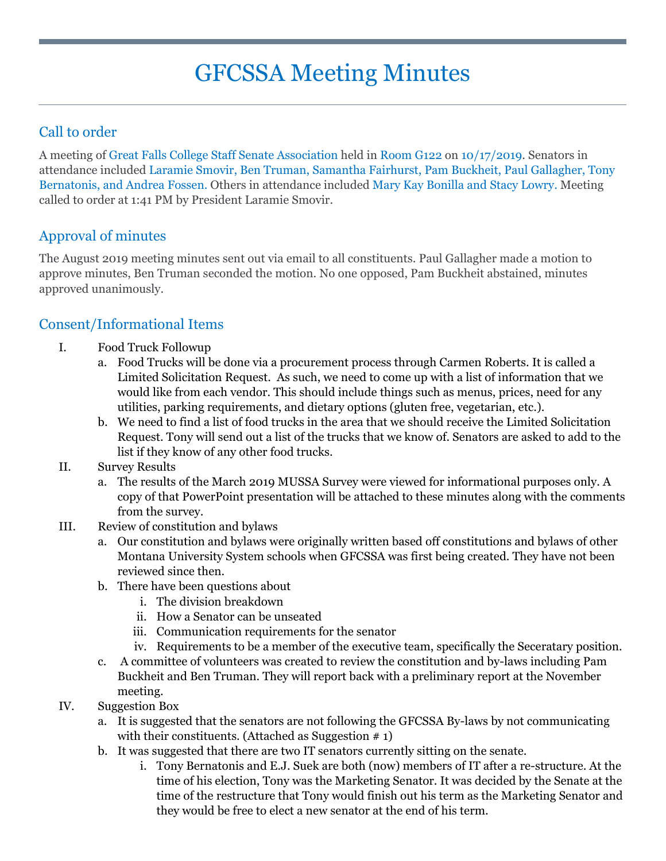# GFCSSA Meeting Minutes

#### Call to order

A meeting of Great Falls College Staff Senate Association held in Room G122 on 10/17/2019. Senators in attendance included Laramie Smovir, Ben Truman, Samantha Fairhurst, Pam Buckheit, Paul Gallagher, Tony Bernatonis, and Andrea Fossen. Others in attendance included Mary Kay Bonilla and Stacy Lowry. Meeting called to order at 1:41 PM by President Laramie Smovir.

### Approval of minutes

The August 2019 meeting minutes sent out via email to all constituents. Paul Gallagher made a motion to approve minutes, Ben Truman seconded the motion. No one opposed, Pam Buckheit abstained, minutes approved unanimously.

#### Consent/Informational Items

- I. Food Truck Followup
	- a. Food Trucks will be done via a procurement process through Carmen Roberts. It is called a Limited Solicitation Request. As such, we need to come up with a list of information that we would like from each vendor. This should include things such as menus, prices, need for any utilities, parking requirements, and dietary options (gluten free, vegetarian, etc.).
	- b. We need to find a list of food trucks in the area that we should receive the Limited Solicitation Request. Tony will send out a list of the trucks that we know of. Senators are asked to add to the list if they know of any other food trucks.
- II. Survey Results
	- a. The results of the March 2019 MUSSA Survey were viewed for informational purposes only. A copy of that PowerPoint presentation will be attached to these minutes along with the comments from the survey.
- III. Review of constitution and bylaws
	- a. Our constitution and bylaws were originally written based off constitutions and bylaws of other Montana University System schools when GFCSSA was first being created. They have not been reviewed since then.
	- b. There have been questions about
		- i. The division breakdown
		- ii. How a Senator can be unseated
		- iii. Communication requirements for the senator
		- iv. Requirements to be a member of the executive team, specifically the Seceratary position.
	- c. A committee of volunteers was created to review the constitution and by-laws including Pam Buckheit and Ben Truman. They will report back with a preliminary report at the November meeting.
- IV. Suggestion Box
	- a. It is suggested that the senators are not following the GFCSSA By-laws by not communicating with their constituents. (Attached as Suggestion  $# 1$ )
	- b. It was suggested that there are two IT senators currently sitting on the senate.
		- i. Tony Bernatonis and E.J. Suek are both (now) members of IT after a re-structure. At the time of his election, Tony was the Marketing Senator. It was decided by the Senate at the time of the restructure that Tony would finish out his term as the Marketing Senator and they would be free to elect a new senator at the end of his term.